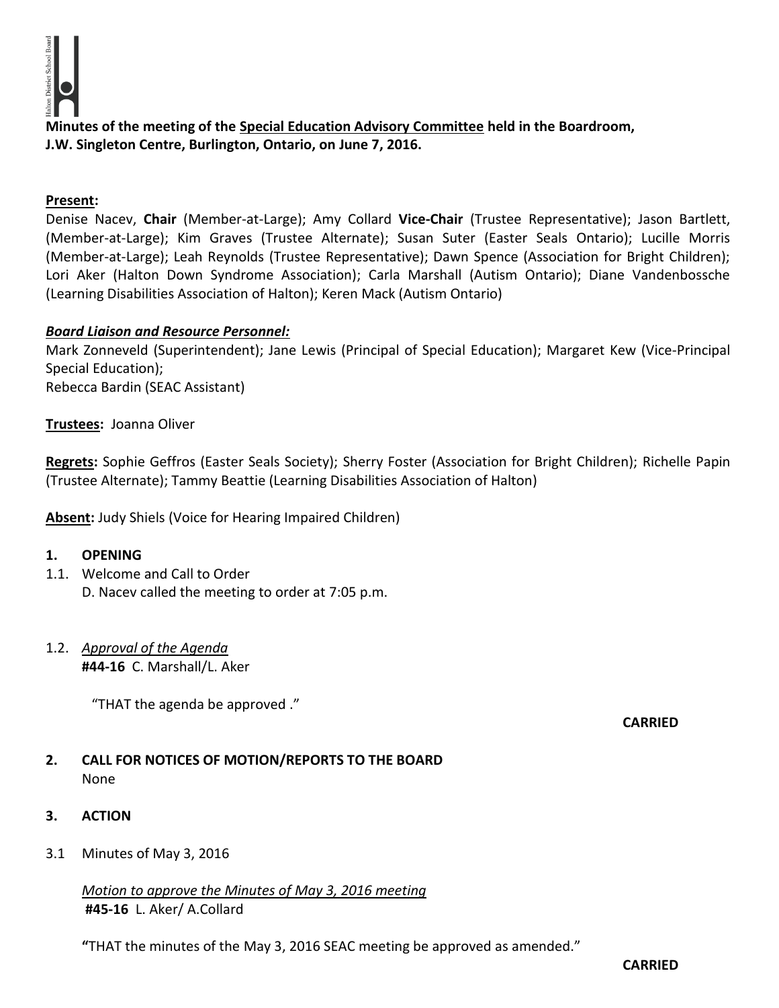

**Minutes of the meeting of the Special Education Advisory Committee held in the Boardroom, J.W. Singleton Centre, Burlington, Ontario, on June 7, 2016.**

#### **Present:**

Denise Nacev, **Chair** (Member-at-Large); Amy Collard **Vice-Chair** (Trustee Representative); Jason Bartlett, (Member-at-Large); Kim Graves (Trustee Alternate); Susan Suter (Easter Seals Ontario); Lucille Morris (Member-at-Large); Leah Reynolds (Trustee Representative); Dawn Spence (Association for Bright Children); Lori Aker (Halton Down Syndrome Association); Carla Marshall (Autism Ontario); Diane Vandenbossche (Learning Disabilities Association of Halton); Keren Mack (Autism Ontario)

#### *Board Liaison and Resource Personnel:*

Mark Zonneveld (Superintendent); Jane Lewis (Principal of Special Education); Margaret Kew (Vice-Principal Special Education); Rebecca Bardin (SEAC Assistant)

#### **Trustees:** Joanna Oliver

**Regrets:** Sophie Geffros (Easter Seals Society); Sherry Foster (Association for Bright Children); Richelle Papin (Trustee Alternate); Tammy Beattie (Learning Disabilities Association of Halton)

**Absent:** Judy Shiels (Voice for Hearing Impaired Children)

#### **1. OPENING**

- 1.1. Welcome and Call to Order D. Nacev called the meeting to order at 7:05 p.m.
- 1.2. *Approval of the Agenda* **#44-16** C. Marshall/L. Aker

"THAT the agenda be approved ."

#### **CARRIED**

- **2. CALL FOR NOTICES OF MOTION/REPORTS TO THE BOARD** None
- **3. ACTION**
- 3.1 Minutes of May 3, 2016

*Motion to approve the Minutes of May 3, 2016 meeting*  **#45-16** L. Aker/ A.Collard

**"**THAT the minutes of the May 3, 2016 SEAC meeting be approved as amended."

**CARRIED**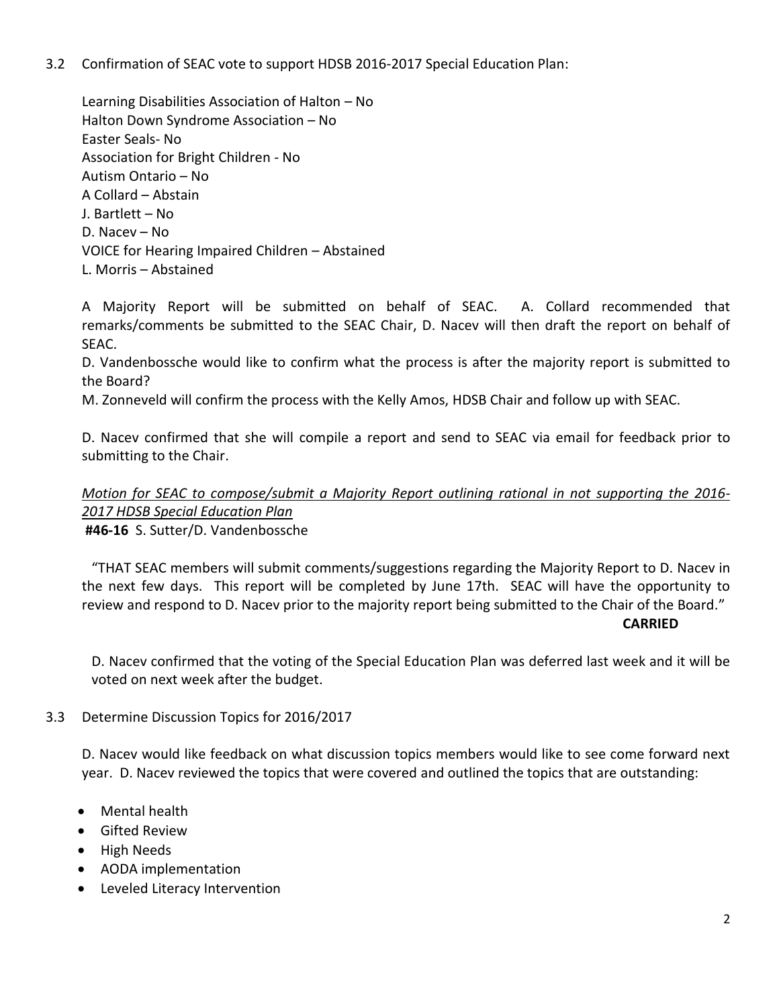## 3.2 Confirmation of SEAC vote to support HDSB 2016-2017 Special Education Plan:

Learning Disabilities Association of Halton – No Halton Down Syndrome Association – No Easter Seals- No Association for Bright Children - No Autism Ontario – No A Collard – Abstain J. Bartlett – No D. Nacev – No VOICE for Hearing Impaired Children – Abstained L. Morris – Abstained

A Majority Report will be submitted on behalf of SEAC. A. Collard recommended that remarks/comments be submitted to the SEAC Chair, D. Nacev will then draft the report on behalf of SEAC.

D. Vandenbossche would like to confirm what the process is after the majority report is submitted to the Board?

M. Zonneveld will confirm the process with the Kelly Amos, HDSB Chair and follow up with SEAC.

D. Nacev confirmed that she will compile a report and send to SEAC via email for feedback prior to submitting to the Chair.

*Motion for SEAC to compose/submit a Majority Report outlining rational in not supporting the 2016- 2017 HDSB Special Education Plan*

 **#46-16** S. Sutter/D. Vandenbossche

"THAT SEAC members will submit comments/suggestions regarding the Majority Report to D. Nacev in the next few days. This report will be completed by June 17th. SEAC will have the opportunity to review and respond to D. Nacev prior to the majority report being submitted to the Chair of the Board." **CARRIED**

D. Nacev confirmed that the voting of the Special Education Plan was deferred last week and it will be voted on next week after the budget.

## 3.3 Determine Discussion Topics for 2016/2017

D. Nacev would like feedback on what discussion topics members would like to see come forward next year. D. Nacev reviewed the topics that were covered and outlined the topics that are outstanding:

- Mental health
- **•** Gifted Review
- High Needs
- AODA implementation
- Leveled Literacy Intervention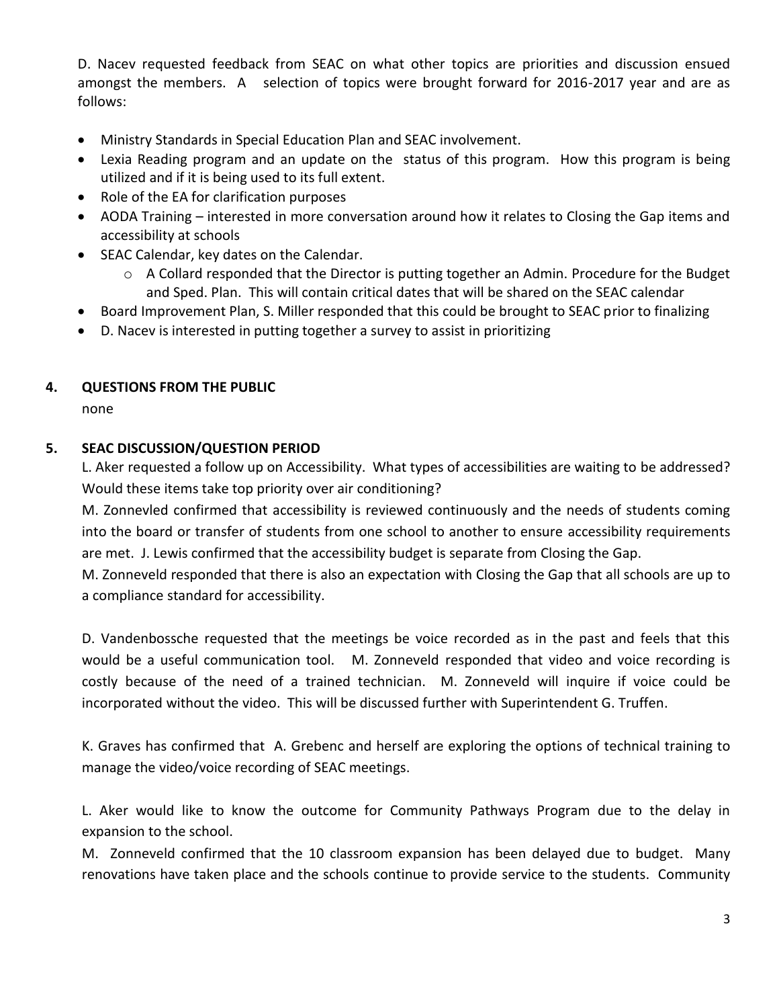D. Nacev requested feedback from SEAC on what other topics are priorities and discussion ensued amongst the members. A selection of topics were brought forward for 2016-2017 year and are as follows:

- Ministry Standards in Special Education Plan and SEAC involvement.
- Lexia Reading program and an update on the status of this program. How this program is being utilized and if it is being used to its full extent.
- Role of the EA for clarification purposes
- AODA Training interested in more conversation around how it relates to Closing the Gap items and accessibility at schools
- SEAC Calendar, key dates on the Calendar.
	- $\circ$  A Collard responded that the Director is putting together an Admin. Procedure for the Budget and Sped. Plan. This will contain critical dates that will be shared on the SEAC calendar
- Board Improvement Plan, S. Miller responded that this could be brought to SEAC prior to finalizing
- D. Nacev is interested in putting together a survey to assist in prioritizing

# **4. QUESTIONS FROM THE PUBLIC**

none

## **5. SEAC DISCUSSION/QUESTION PERIOD**

L. Aker requested a follow up on Accessibility. What types of accessibilities are waiting to be addressed? Would these items take top priority over air conditioning?

M. Zonnevled confirmed that accessibility is reviewed continuously and the needs of students coming into the board or transfer of students from one school to another to ensure accessibility requirements are met. J. Lewis confirmed that the accessibility budget is separate from Closing the Gap.

M. Zonneveld responded that there is also an expectation with Closing the Gap that all schools are up to a compliance standard for accessibility.

D. Vandenbossche requested that the meetings be voice recorded as in the past and feels that this would be a useful communication tool. M. Zonneveld responded that video and voice recording is costly because of the need of a trained technician. M. Zonneveld will inquire if voice could be incorporated without the video. This will be discussed further with Superintendent G. Truffen.

K. Graves has confirmed that A. Grebenc and herself are exploring the options of technical training to manage the video/voice recording of SEAC meetings.

L. Aker would like to know the outcome for Community Pathways Program due to the delay in expansion to the school.

M. Zonneveld confirmed that the 10 classroom expansion has been delayed due to budget. Many renovations have taken place and the schools continue to provide service to the students. Community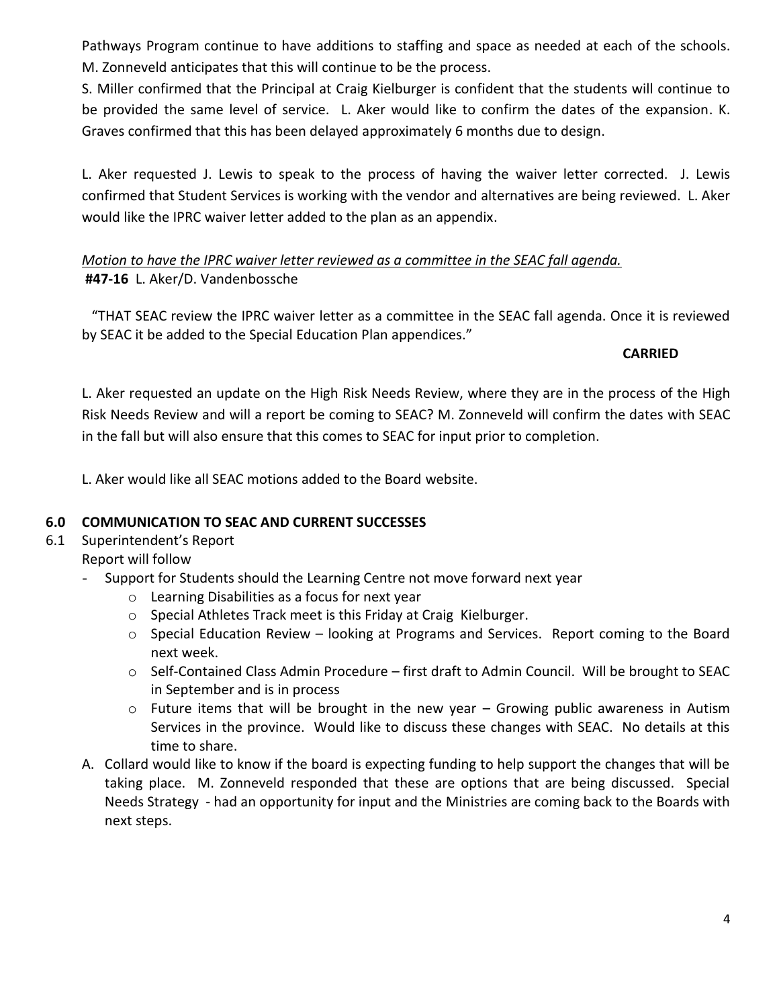Pathways Program continue to have additions to staffing and space as needed at each of the schools. M. Zonneveld anticipates that this will continue to be the process.

S. Miller confirmed that the Principal at Craig Kielburger is confident that the students will continue to be provided the same level of service. L. Aker would like to confirm the dates of the expansion. K. Graves confirmed that this has been delayed approximately 6 months due to design.

L. Aker requested J. Lewis to speak to the process of having the waiver letter corrected. J. Lewis confirmed that Student Services is working with the vendor and alternatives are being reviewed. L. Aker would like the IPRC waiver letter added to the plan as an appendix.

# *Motion to have the IPRC waiver letter reviewed as a committee in the SEAC fall agenda.*  **#47-16** L. Aker/D. Vandenbossche

"THAT SEAC review the IPRC waiver letter as a committee in the SEAC fall agenda. Once it is reviewed by SEAC it be added to the Special Education Plan appendices."

## **CARRIED**

L. Aker requested an update on the High Risk Needs Review, where they are in the process of the High Risk Needs Review and will a report be coming to SEAC? M. Zonneveld will confirm the dates with SEAC in the fall but will also ensure that this comes to SEAC for input prior to completion.

L. Aker would like all SEAC motions added to the Board website.

## **6.0 COMMUNICATION TO SEAC AND CURRENT SUCCESSES**

# 6.1 Superintendent's Report

- Report will follow
	- Support for Students should the Learning Centre not move forward next year
		- o Learning Disabilities as a focus for next year
		- o Special Athletes Track meet is this Friday at Craig Kielburger.
		- o Special Education Review looking at Programs and Services. Report coming to the Board next week.
		- o Self-Contained Class Admin Procedure first draft to Admin Council. Will be brought to SEAC in September and is in process
		- $\circ$  Future items that will be brought in the new year Growing public awareness in Autism Services in the province. Would like to discuss these changes with SEAC. No details at this time to share.
	- A. Collard would like to know if the board is expecting funding to help support the changes that will be taking place. M. Zonneveld responded that these are options that are being discussed. Special Needs Strategy - had an opportunity for input and the Ministries are coming back to the Boards with next steps.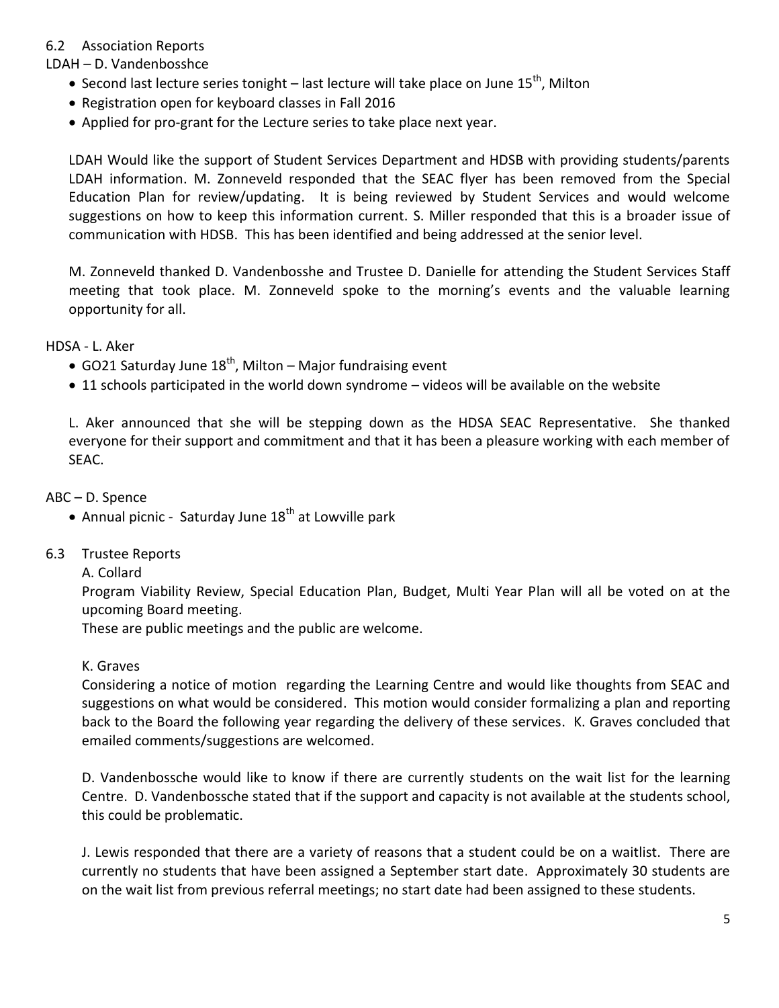# 6.2 Association Reports

#### LDAH – D. Vandenbosshce

- $\bullet$  Second last lecture series tonight last lecture will take place on June 15<sup>th</sup>, Milton
- Registration open for keyboard classes in Fall 2016
- Applied for pro-grant for the Lecture series to take place next year.

LDAH Would like the support of Student Services Department and HDSB with providing students/parents LDAH information. M. Zonneveld responded that the SEAC flyer has been removed from the Special Education Plan for review/updating. It is being reviewed by Student Services and would welcome suggestions on how to keep this information current. S. Miller responded that this is a broader issue of communication with HDSB. This has been identified and being addressed at the senior level.

M. Zonneveld thanked D. Vandenbosshe and Trustee D. Danielle for attending the Student Services Staff meeting that took place. M. Zonneveld spoke to the morning's events and the valuable learning opportunity for all.

HDSA - L. Aker

- GO21 Saturday June  $18^{th}$ , Milton Major fundraising event
- 11 schools participated in the world down syndrome videos will be available on the website

L. Aker announced that she will be stepping down as the HDSA SEAC Representative. She thanked everyone for their support and commitment and that it has been a pleasure working with each member of SEAC.

ABC – D. Spence

- Annual picnic Saturday June  $18<sup>th</sup>$  at Lowville park
- 6.3 Trustee Reports

#### A. Collard

Program Viability Review, Special Education Plan, Budget, Multi Year Plan will all be voted on at the upcoming Board meeting.

These are public meetings and the public are welcome.

#### K. Graves

Considering a notice of motion regarding the Learning Centre and would like thoughts from SEAC and suggestions on what would be considered. This motion would consider formalizing a plan and reporting back to the Board the following year regarding the delivery of these services. K. Graves concluded that emailed comments/suggestions are welcomed.

D. Vandenbossche would like to know if there are currently students on the wait list for the learning Centre. D. Vandenbossche stated that if the support and capacity is not available at the students school, this could be problematic.

J. Lewis responded that there are a variety of reasons that a student could be on a waitlist. There are currently no students that have been assigned a September start date. Approximately 30 students are on the wait list from previous referral meetings; no start date had been assigned to these students.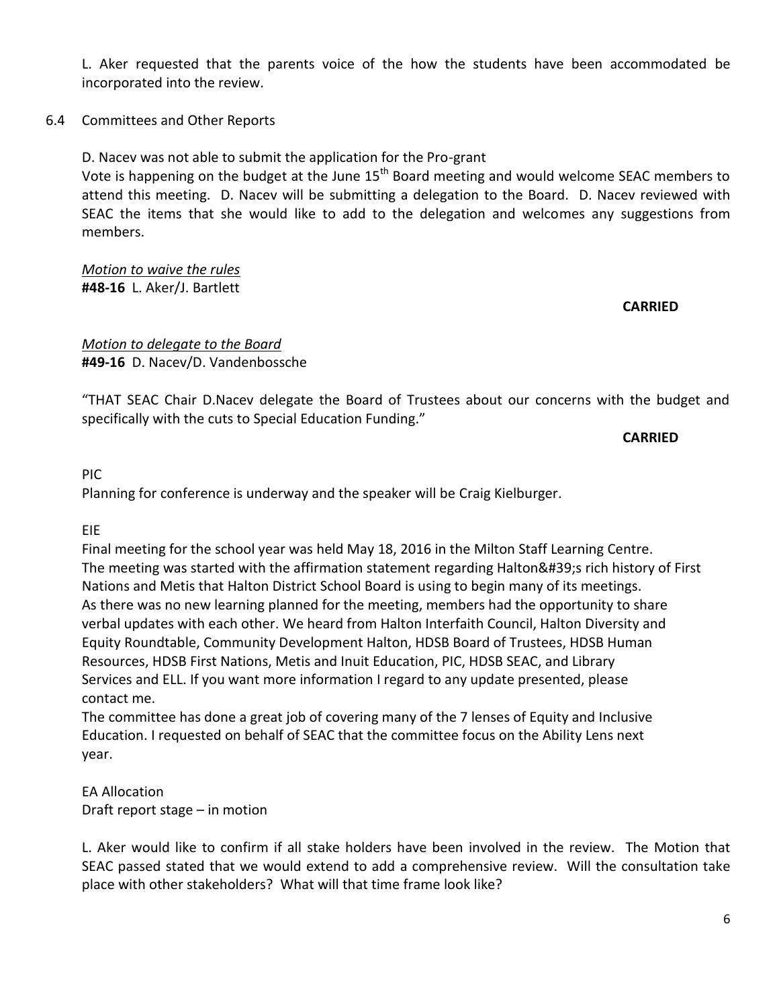L. Aker requested that the parents voice of the how the students have been accommodated be incorporated into the review.

6.4 Committees and Other Reports

D. Nacev was not able to submit the application for the Pro-grant

Vote is happening on the budget at the June 15<sup>th</sup> Board meeting and would welcome SEAC members to attend this meeting. D. Nacev will be submitting a delegation to the Board. D. Nacev reviewed with SEAC the items that she would like to add to the delegation and welcomes any suggestions from members.

*Motion to waive the rules* **#48-16** L. Aker/J. Bartlett

**CARRIED**

*Motion to delegate to the Board* **#49-16** D. Nacev/D. Vandenbossche

"THAT SEAC Chair D.Nacev delegate the Board of Trustees about our concerns with the budget and specifically with the cuts to Special Education Funding."

**CARRIED**

PIC

Planning for conference is underway and the speaker will be Craig Kielburger.

EIE

Final meeting for the school year was held May 18, 2016 in the Milton Staff Learning Centre. The meeting was started with the affirmation statement regarding Halton's rich history of First Nations and Metis that Halton District School Board is using to begin many of its meetings. As there was no new learning planned for the meeting, members had the opportunity to share verbal updates with each other. We heard from Halton Interfaith Council, Halton Diversity and Equity Roundtable, Community Development Halton, HDSB Board of Trustees, HDSB Human Resources, HDSB First Nations, Metis and Inuit Education, PIC, HDSB SEAC, and Library Services and ELL. If you want more information I regard to any update presented, please contact me.

The committee has done a great job of covering many of the 7 lenses of Equity and Inclusive Education. I requested on behalf of SEAC that the committee focus on the Ability Lens next year.

EA Allocation Draft report stage – in motion

L. Aker would like to confirm if all stake holders have been involved in the review. The Motion that SEAC passed stated that we would extend to add a comprehensive review. Will the consultation take place with other stakeholders? What will that time frame look like?